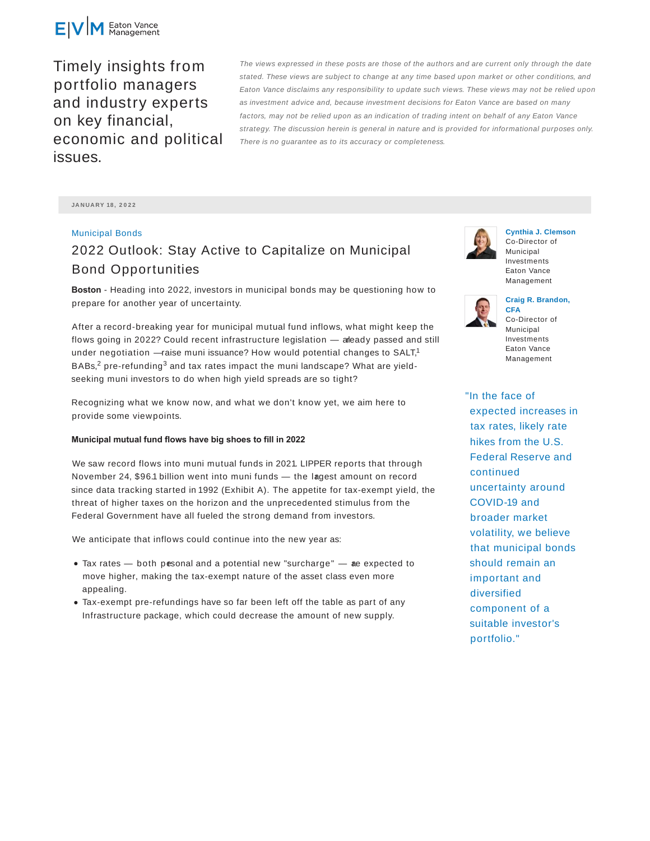

Timely insights from portfolio managers and industry experts on key financial, economic and political issues.

The views expressed in these posts are those of the authors and are current only through the date stated. These views are subject to change at any time based upon market or other conditions, and Eaton Vance disclaims any responsibility to update such views. These views may not be relied upon as investment advice and, because investment decisions for Eaton Vance are based on many factors, may not be relied upon as an indication of trading intent on behalf of any Eaton Vance strategy. The discussion herein is general in nature and is provided for informational purposes only. There is no guarantee as to its accuracy or completeness.

**JA N UA RY 18 , 2 0 2 2**

### Municipal Bonds

# 2022 Outlook: Stay Active to Capitalize on Municipal Bond Opportunities

**Boston** - Heading into 2022, investors in municipal bonds may be questioning how to prepare for another year of uncertainty.

After a record-breaking year for municipal mutual fund inflows, what might keep the flows going in 2022? Could recent infrastructure legislation — aleady passed and still under negotiation  $-$ raise muni issuance? How would potential changes to SALT,<sup>1</sup> BABs,<sup>2</sup> pre-refunding<sup>3</sup> and tax rates impact the muni landscape? What are yieldseeking muni investors to do when high yield spreads are so tight?

Recognizing what we know now, and what we don't know yet, we aim here to provide some viewpoints.

#### **Municipal mutual fund flows have big shoes to fill in 2022**

We saw record flows into muni mutual funds in 2021. LIPPER reports that through November 24, \$96.1 billion went into muni funds - the lagest amount on record since data tracking started in 1992 (Exhibit A). The appetite for tax-exempt yield, the threat of higher taxes on the horizon and the unprecedented stimulus from the Federal Government have all fueled the strong demand from investors.

We anticipate that inflows could continue into the new year as:

- $\bullet$  Tax rates  $-$  both pesonal and a potential new "surcharge"  $-$  ae expected to move higher, making the tax-exempt nature of the asset class even more appealing.
- Tax-exempt pre-refundings have so far been left off the table as part of any Infrastructure package, which could decrease the amount of new supply.



**Cynthia J. Clemson** Co-Director of Municipal Investments Eaton Vance Management



#### **Craig R. Brandon, CFA**

Co-Director of Municipal Investments Eaton Vance Management

"In the face of expected increases in tax rates, likely rate hikes from the U.S. Federal Reserve and continued uncertainty around COVID-19 and broader market volatility, we believe that municipal bonds should remain an important and diversified component of a suitable investor's portfolio."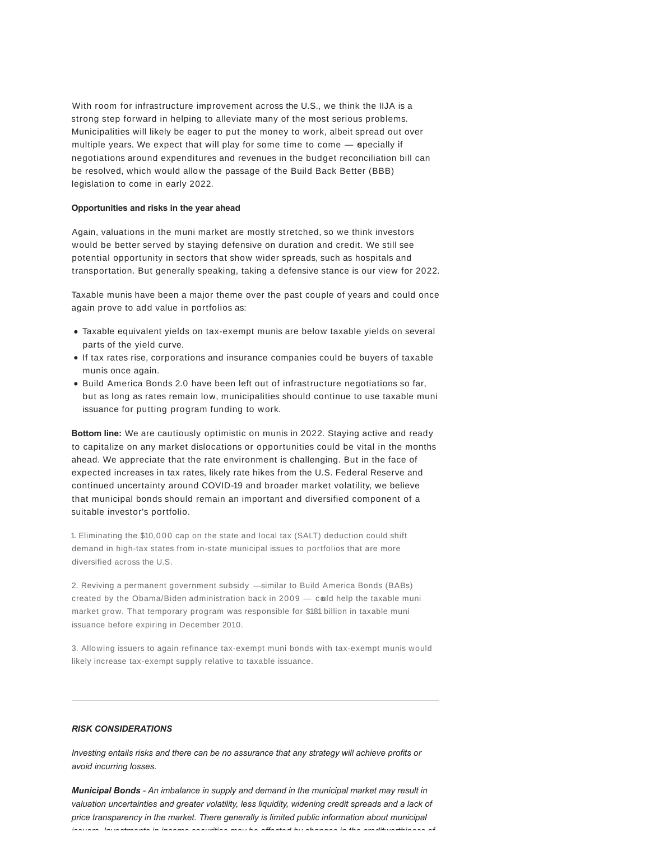With room for infrastructure improvement across the U.S., we think the IIJA is a strong step forward in helping to alleviate many of the most serious problems. Municipalities will likely be eager to put the money to work, albeit spread out over multiple years. We expect that will play for some time to come  $-$  epecially if negotiations around expenditures and revenues in the budget reconciliation bill can be resolved, which would allow the passage of the Build Back Better (BBB) legislation to come in early 2022.

#### **Opportunities and risks in the year ahead**

Again, valuations in the muni market are mostly stretched, so we think investors would be better served by staying defensive on duration and credit. We still see potential opportunity in sectors that show wider spreads, such as hospitals and transportation. But generally speaking, taking a defensive stance is our view for 2022.

Taxable munis have been a major theme over the past couple of years and could once again prove to add value in portfolios as:

- Taxable equivalent yields on tax-exempt munis are below taxable yields on several parts of the yield curve.
- If tax rates rise, corporations and insurance companies could be buyers of taxable munis once again.
- Build America Bonds 2.0 have been left out of infrastructure negotiations so far, but as long as rates remain low, municipalities should continue to use taxable muni issuance for putting program funding to work.

**Bottom line:** We are cautiously optimistic on munis in 2022. Staying active and ready to capitalize on any market dislocations or opportunities could be vital in the months ahead. We appreciate that the rate environment is challenging. But in the face of expected increases in tax rates, likely rate hikes from the U.S. Federal Reserve and continued uncertainty around COVID-19 and broader market volatility, we believe that municipal bonds should remain an important and diversified component of a suitable investor's portfolio.

1. Eliminating the \$10,000 cap on the state and local tax (SALT) deduction could shift demand in high-tax states from in-state municipal issues to portfolios that are more diversified across the U.S.

2. Reviving a permanent government subsidy — similar to Build America Bonds (BABs) created by the Obama/Biden administration back in 2009 — could help the taxable muni market grow. That temporary program was responsible for \$181 billion in taxable muni issuance before expiring in December 2010.

3. Allowing issuers to again refinance tax-exempt muni bonds with tax-exempt munis would likely increase tax-exempt supply relative to taxable issuance.

## *RISK CONSIDERATIONS*

*Investing entails risks and there can be no assurance that any strategy will achieve profits or avoid incurring losses.*

*Municipal Bonds - An imbalance in supply and demand in the municipal market may result in valuation uncertainties and greater volatility, less liquidity, widening credit spreads and a lack of price transparency in the market. There generally is limited public information about municipal issuers. Investments in income securities may be affected by changes in the creditworthiness of*